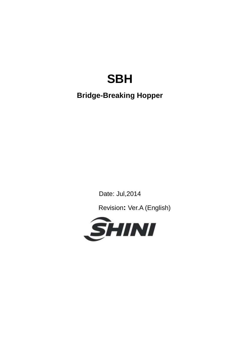# **SBH**

## **Bridge-Breaking Hopper**

Date: Jul,2014

Revision**:** Ver.A (English)

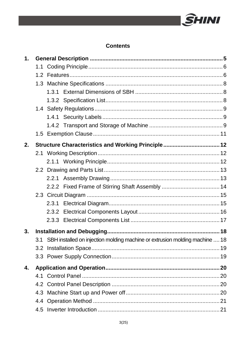

#### **Contents**

| $\mathbf 1$ . |     |                                                                             |  |  |  |
|---------------|-----|-----------------------------------------------------------------------------|--|--|--|
|               |     |                                                                             |  |  |  |
|               |     |                                                                             |  |  |  |
|               |     |                                                                             |  |  |  |
|               |     |                                                                             |  |  |  |
|               |     |                                                                             |  |  |  |
|               |     |                                                                             |  |  |  |
|               |     |                                                                             |  |  |  |
|               |     |                                                                             |  |  |  |
|               |     |                                                                             |  |  |  |
| 2.            |     | Structure Characteristics and Working Principle 12                          |  |  |  |
|               |     |                                                                             |  |  |  |
|               |     |                                                                             |  |  |  |
|               |     |                                                                             |  |  |  |
|               |     |                                                                             |  |  |  |
|               |     |                                                                             |  |  |  |
|               |     |                                                                             |  |  |  |
|               |     |                                                                             |  |  |  |
|               |     |                                                                             |  |  |  |
|               |     |                                                                             |  |  |  |
| 3.            |     |                                                                             |  |  |  |
|               | 3.1 | SBH installed on injection molding machine or extrusion molding machine  18 |  |  |  |
|               |     |                                                                             |  |  |  |
|               |     |                                                                             |  |  |  |
| 4.            |     |                                                                             |  |  |  |
|               |     |                                                                             |  |  |  |
|               |     |                                                                             |  |  |  |
|               |     |                                                                             |  |  |  |
|               |     |                                                                             |  |  |  |
|               |     |                                                                             |  |  |  |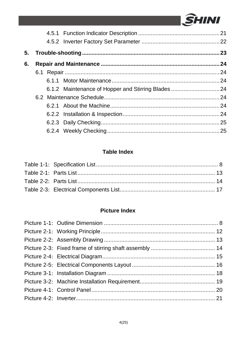

| 5. |  |                                                     |  |
|----|--|-----------------------------------------------------|--|
| 6. |  |                                                     |  |
|    |  |                                                     |  |
|    |  |                                                     |  |
|    |  | 6.1.2 Maintenance of Hopper and Stirring Blades  24 |  |
|    |  |                                                     |  |
|    |  |                                                     |  |
|    |  |                                                     |  |
|    |  |                                                     |  |
|    |  |                                                     |  |

#### **Table Index**

#### **Picture Index**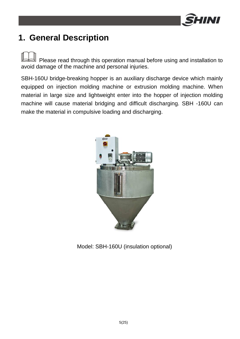

## **1. General Description**

Please read through this operation manual before using and installation to avoid damage of the machine and personal injuries.

SBH-160U bridge-breaking hopper is an auxiliary discharge device which mainly equipped on injection molding machine or extrusion molding machine. When material in large size and lightweight enter into the hopper of injection molding machine will cause material bridging and difficult discharging. SBH -160U can make the material in compulsive loading and discharging.



Model: SBH-160U (insulation optional)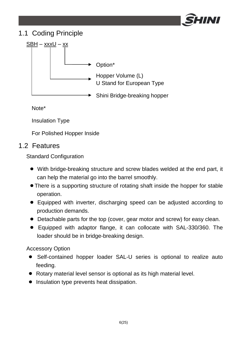

### 1.1 Coding Principle



Note\*

Insulation Type

For Polished Hopper Inside

### 1.2 Features

Standard Configuration

- With bridge-breaking structure and screw blades welded at the end part, it can help the material go into the barrel smoothly.
- ●There is a supporting structure of rotating shaft inside the hopper for stable operation.
- Equipped with inverter, discharging speed can be adjusted according to production demands.
- Detachable parts for the top (cover, gear motor and screw) for easy clean.
- Equipped with adaptor flange, it can collocate with SAL-330/360. The loader should be in bridge-breaking design.

Accessory Option

- Self-contained hopper loader SAL-U series is optional to realize auto feeding.
- Rotary material level sensor is optional as its high material level.
- Insulation type prevents heat dissipation.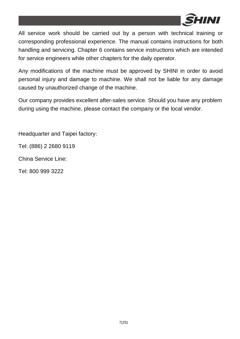

All service work should be carried out by a person with technical training or corresponding professional experience. The manual contains instructions for both handling and servicing. Chapter 6 contains service instructions which are intended for service engineers while other chapters for the daily operator.

Any modifications of the machine must be approved by SHINI in order to avoid personal injury and damage to machine. We shall not be liable for any damage caused by unauthorized change of the machine.

Our company provides excellent after-sales service. Should you have any problem during using the machine, please contact the company or the local vendor.

Headquarter and Taipei factory:

Tel: (886) 2 2680 9119

China Service Line:

Tel: 800 999 3222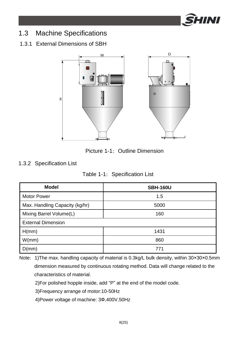

### 1.3 Machine Specifications

#### 1.3.1 External Dimensions of SBH



Picture 1-1: Outline Dimension

#### 1.3.2 Specification List

|  | Table 1-1: Specification List |
|--|-------------------------------|
|--|-------------------------------|

| <b>Model</b>                   | <b>SBH-160U</b> |
|--------------------------------|-----------------|
| <b>Motor Power</b>             | 1.5             |
| Max. Handling Capacity (kg/hr) | 5000            |
| Mixing Barrel Volume(L)        | 160             |
| <b>External Dimension</b>      |                 |
| H(mm)                          | 1431            |
| W/mm)                          | 860             |
| D(mm)                          | 771             |

Note: 1)The max. handling capacity of material is 0.3kg/L bulk density, within 30×30×0.5mm dimension measured by continuous rotating method. Data will change related to the characteristics of material.

2)For polished hopple inside, add "P" at the end of the model code.

3)Frequency arrange of motor:10-50Hz

4)Power voltage of machine: 3Ф,400V,50Hz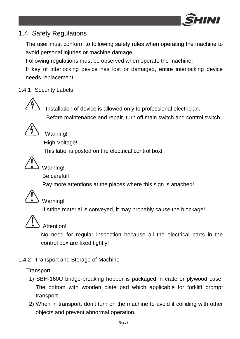

### 1.4 Safety Regulations

The user must conform to following safety rules when operating the machine to avoid personal injuries or machine damage.

Following regulations must be observed when operate the machine.

If key of interlocking device has lost or damaged, entire interlocking device needs replacement.

#### 1.4.1 Security Labels



 Installation of device is allowed only to professional electrician. Before maintenance and repair, turn off main switch and control switch.



Warning!

High Voltage!

This label is posted on the electrical control box!



### Warning!

Be careful!

Pay more attentions at the places where this sign is attached!



### Warning!

If stripe material is conveyed, it may probably cause the blockage!



### Attention!

No need for regular inspection because all the electrical parts in the control box are fixed tightly!

#### 1.4.2 Transport and Storage of Machine

**Transport** 

- 1) SBH-160U bridge-breaking hopper is packaged in crate or plywood case. The bottom with wooden plate pad which applicable for forklift prompt transport.
- 2) When in transport, don't turn on the machine to avoid it colliding with other objects and prevent abnormal operation.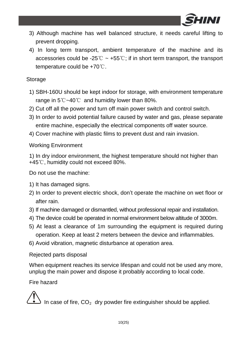

- 3) Although machine has well balanced structure, it needs careful lifting to prevent dropping.
- 4) In long term transport, ambient temperature of the machine and its accessories could be -25° $\degree$   $\sim$  +55 $\degree$ ; if in short term transport, the transport temperature could be +70℃.

#### Storage

- 1) SBH-160U should be kept indoor for storage, with environment temperature range in 5℃~40℃ and humidity lower than 80%.
- 2) Cut off all the power and turn off main power switch and control switch.
- 3) In order to avoid potential failure caused by water and gas, please separate entire machine, especially the electrical components off water source.
- 4) Cover machine with plastic films to prevent dust and rain invasion.

#### Working Environment

1) In dry indoor environment, the highest temperature should not higher than +45℃, humidity could not exceed 80%.

Do not use the machine:

- 1) It has damaged signs.
- 2) In order to prevent electric shock, don't operate the machine on wet floor or after rain.
- 3) If machine damaged or dismantled, without professional repair and installation.
- 4) The device could be operated in normal environment below altitude of 3000m.
- 5) At least a clearance of 1m surrounding the equipment is required during operation. Keep at least 2 meters between the device and inflammables.
- 6) Avoid vibration, magnetic disturbance at operation area.

#### Rejected parts disposal

When equipment reaches its service lifespan and could not be used any more, unplug the main power and dispose it probably according to local code.

#### Fire hazard

In case of fire,  $CO<sub>2</sub>$  dry powder fire extinguisher should be applied.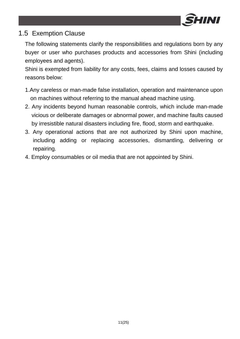

### 1.5 Exemption Clause

The following statements clarify the responsibilities and regulations born by any buyer or user who purchases products and accessories from Shini (including employees and agents).

Shini is exempted from liability for any costs, fees, claims and losses caused by reasons below:

- 1.Any careless or man-made false installation, operation and maintenance upon on machines without referring to the manual ahead machine using.
- 2. Any incidents beyond human reasonable controls, which include man-made vicious or deliberate damages or abnormal power, and machine faults caused by irresistible natural disasters including fire, flood, storm and earthquake.
- 3. Any operational actions that are not authorized by Shini upon machine, including adding or replacing accessories, dismantling, delivering or repairing.
- 4. Employ consumables or oil media that are not appointed by Shini.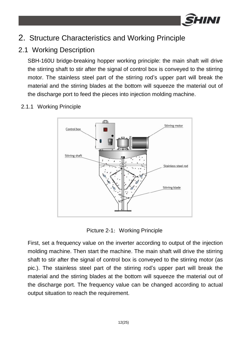

## 2. Structure Characteristics and Working Principle

### 2.1 Working Description

SBH-160U bridge-breaking hopper working principle: the main shaft will drive the stirring shaft to stir after the signal of control box is conveyed to the stirring motor. The stainless steel part of the stirring rod's upper part will break the material and the stirring blades at the bottom will squeeze the material out of the discharge port to feed the pieces into injection molding machine.



#### 2.1.1 Working Principle

Picture 2-1: Working Principle

First, set a frequency value on the inverter according to output of the injection molding machine. Then start the machine. The main shaft will drive the stirring shaft to stir after the signal of control box is conveyed to the stirring motor (as pic.). The stainless steel part of the stirring rod's upper part will break the material and the stirring blades at the bottom will squeeze the material out of the discharge port. The frequency value can be changed according to actual output situation to reach the requirement.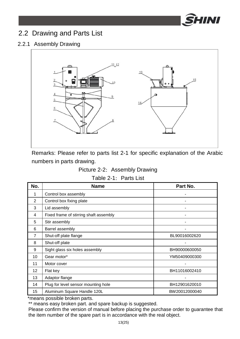

### 2.2 Drawing and Parts List

#### 2.2.1 Assembly Drawing



Remarks: Please refer to parts list 2-1 for specific explanation of the Arabic numbers in parts drawing.

#### Picture 2-2: Assembly Drawing

#### Table 2-1: Parts List

| No.               | <b>Name</b>                            | Part No.      |
|-------------------|----------------------------------------|---------------|
| 1                 | Control box assembly                   |               |
| $\overline{2}$    | Control box fixing plate               |               |
| 3                 | Lid assembly                           |               |
| 4                 | Fixed frame of stirring shaft assembly |               |
| 5                 | Stir assembly                          |               |
| 6                 | Barrel assembly                        |               |
| 7                 | Shut-off plate flange                  | BL90016002620 |
| 8                 | Shut-off plate                         |               |
| 9                 | Sight glass six holes assembly         | BH90000600050 |
| 10                | Gear motor*                            | YM50409000300 |
| 11                | Motor cover                            |               |
| $12 \overline{ }$ | Flat key                               | BH11016002410 |
| 13                | Adaptor flange                         |               |
| 14                | Plug for level sensor mounting hole    | BH12901620010 |
| 15                | Aluminum Square Handle 120L            | BW20012000040 |

\*means possible broken parts.

\*\* means easy broken part. and spare backup is suggested.

Please confirm the version of manual before placing the purchase order to guarantee that the item number of the spare part is in accordance with the real object.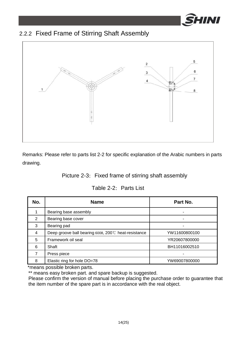

### 2.2.2 Fixed Frame of Stirring Shaft Assembly



Remarks: Please refer to parts list 2-2 for specific explanation of the Arabic numbers in parts drawing.

#### Picture 2-3: Fixed frame of stirring shaft assembly

#### Table 2-2: Parts List

| No.            | <b>Name</b>                                         | Part No.      |
|----------------|-----------------------------------------------------|---------------|
|                | Bearing base assembly                               |               |
| $\mathfrak{p}$ | Bearing base cover                                  | -             |
| 3              | Bearing pad                                         |               |
| $\overline{4}$ | Deep groove ball bearing 6008, 200℃ heat-resistance | YW11600800100 |
| 5              | Framework oil seal                                  | YR20607800000 |
| 6              | Shaft                                               | BH11016002510 |
| 7              | Press piece                                         |               |
| 8              | Elastic ring for hole DO=78                         | YW69007800000 |

\*means possible broken parts.

\*\* means easy broken part. and spare backup is suggested.

Please confirm the version of manual before placing the purchase order to guarantee that the item number of the spare part is in accordance with the real object.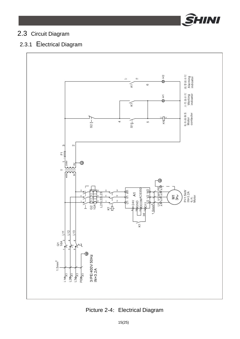

### 2.3 Circuit Diagram

### 2.3.1 Electrical Diagram



Picture 2-4: Electrical Diagram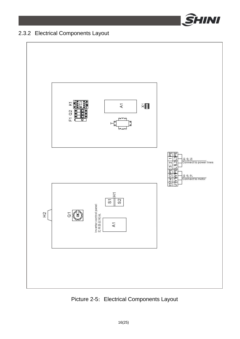

### 2.3.2 Electrical Components Layout



Picture 2-5: Electrical Components Layout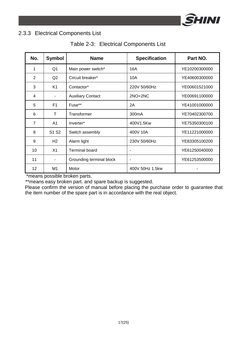

#### 2.3.3 Electrical Components List

| Table 2-3: Electrical Components List |
|---------------------------------------|
|---------------------------------------|

| No.               | <b>Symbol</b>                 | <b>Name</b>              | <b>Specification</b> | Part NO.      |
|-------------------|-------------------------------|--------------------------|----------------------|---------------|
| 1                 | Q <sub>1</sub>                | Main power switch*       | 16A                  | YE10200300000 |
| $\overline{2}$    | Q2                            | Circuit breaker*         | 10A                  | YE40600300000 |
| 3                 | K <sub>1</sub>                | Contactor*               | 220V 50/60Hz         | YE00601521000 |
| 4                 | $\overline{\phantom{a}}$      | <b>Auxiliary Contact</b> | $2NO+2NC$            | YE00691100000 |
| 5                 | F <sub>1</sub>                | Fuse**                   | 2A                   | YE41001000000 |
| 6                 | T                             | Transformer              | 300 <sub>m</sub> A   | YE70402300700 |
| $\overline{7}$    | A <sub>1</sub>                | Inverter*                | 400V1.5Kw            | YE75350300100 |
| 8                 | S <sub>1</sub> S <sub>2</sub> | Switch assembly          | 400V 10A             | YE11221000000 |
| 9                 | H2                            | Alarm light              | 230V 50/60Hz         | YE83305100200 |
| 10                | X1                            | <b>Terminal board</b>    | -                    | YE61250040000 |
| 11                |                               | Grounding terminal block | -                    | YE61253500000 |
| $12 \overline{ }$ | M1                            | Motor                    | 400V 50Hz 1.5kw      |               |

\*means possible broken parts.

\*\*means easy broken part. and spare backup is suggested.

Please confirm the version of manual before placing the purchase order to guarantee that the item number of the spare part is in accordance with the real object.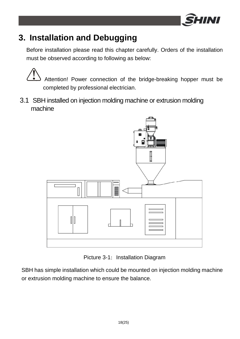

## **3. Installation and Debugging**

Before installation please read this chapter carefully. Orders of the installation must be observed according to following as below:

Attention! Power connection of the bridge-breaking hopper must be completed by professional electrician.

3.1 SBH installed on injection molding machine or extrusion molding machine



Picture 3-1: Installation Diagram

SBH has simple installation which could be mounted on injection molding machine or extrusion molding machine to ensure the balance.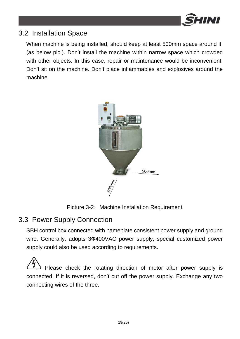

### 3.2 Installation Space

When machine is being installed, should keep at least 500mm space around it. (as below pic.). Don't install the machine within narrow space which crowded with other objects. In this case, repair or maintenance would be inconvenient. Don't sit on the machine. Don't place inflammables and explosives around the machine.



Picture 3-2: Machine Installation Requirement

### 3.3 Power Supply Connection

SBH control box connected with nameplate consistent power supply and ground wire. Generally, adopts 3Ф400VAC power supply, special customized power supply could also be used according to requirements.

Please check the rotating direction of motor after power supply is connected. If it is reversed, don't cut off the power supply. Exchange any two connecting wires of the three.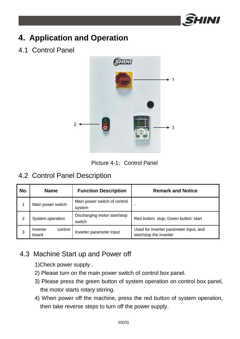

## **4. Application and Operation**

4.1 Control Panel





### 4.2 Control Panel Description

| No. | <b>Name</b>                  | <b>Function Description</b>            | <b>Remark and Notice</b>                                          |
|-----|------------------------------|----------------------------------------|-------------------------------------------------------------------|
|     | Main power switch            | Main power switch of control<br>system | -                                                                 |
| 2   | System operation             | Discharging motor start/stop<br>switch | Red button: stop; Green button: start                             |
| 3   | control<br>Inverter<br>board | Inverter parameter input               | Used for inverter parameter input, and<br>start/stop the inverter |

### 4.3 Machine Start up and Power off

- 1)Check power supply .
- 2) Please turn on the main power switch of control box panel.
- 3) Please press the green button of system operation on control box panel, the motor starts rotary stirring.
- 4) When power off the machine, press the red button of system operation, then take reverse steps to turn off the power supply.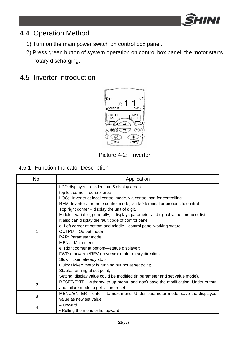

### 4.4 Operation Method

- 1) Turn on the main power switch on control box panel.
- 2) Press green button of system operation on control box panel, the motor starts rotary discharging.

### 4.5 Inverter Introduction



Picture 4-2: Inverter

#### 4.5.1 Function Indicator Description

| No. | Application                                                                                                                                |  |
|-----|--------------------------------------------------------------------------------------------------------------------------------------------|--|
|     | LCD displayer – divided into 5 display areas                                                                                               |  |
|     | top left corner-control area                                                                                                               |  |
|     | LOC: Inverter at local control mode, via control pan for controlling.                                                                      |  |
|     | REM: Inverter at remote control mode, via I/O terminal or profibus to control.                                                             |  |
|     | Top right corner – display the unit of digit.                                                                                              |  |
|     | Middle -variable; generally, it displays parameter and signal value, menu or list.<br>It also can display the fault code of control panel. |  |
|     | d, Left corner at bottom and middle-control panel working statue:                                                                          |  |
| 1   | OUTPUT: Output mode                                                                                                                        |  |
|     | PAR: Parameter mode                                                                                                                        |  |
|     | MENU: Main menu                                                                                                                            |  |
|     | e. Right corner at bottom—statue displayer:                                                                                                |  |
|     | FWD (forward) /REV (reverse): motor rotary direction                                                                                       |  |
|     | Slow flicker: already stop                                                                                                                 |  |
|     | Quick flicker: motor is running but not at set point;                                                                                      |  |
|     | Stable: running at set point;                                                                                                              |  |
|     | Setting: display value could be modified (in parameter and set value mode).                                                                |  |
| 2   | RESET/EXIT – withdraw to up menu, and don't save the modification. Under output                                                            |  |
|     | and failure mode to get failure reset.                                                                                                     |  |
| 3   | MENU/ENTER – enter into next menu. Under parameter mode, save the displayed                                                                |  |
|     | value as new set value.                                                                                                                    |  |
| 4   | – Upward                                                                                                                                   |  |
|     | • Rolling the menu or list upward.                                                                                                         |  |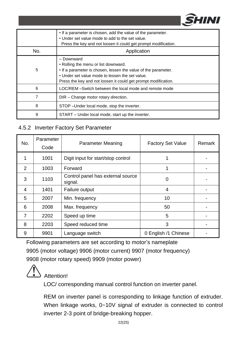

|     | • If a parameter is chosen, add the value of the parameter.<br>• Under set value mode to add to the set value.<br>Press the key and not loosen it could get prompt modification.                                                          |
|-----|-------------------------------------------------------------------------------------------------------------------------------------------------------------------------------------------------------------------------------------------|
| No. | Application                                                                                                                                                                                                                               |
| 5   | - Downward<br>• Rolling the menu or list downward.<br>. If a parameter is chosen, lessen the value of the parameter.<br>• Under set value mode to lessen the set value.<br>Press the key and not loosen it could get prompt modification. |
| 6   | LOC/REM –Switch between the local mode and remote mode                                                                                                                                                                                    |
| 7   | DIR - Change motor rotary direction.                                                                                                                                                                                                      |
| 8   | STOP - Under local mode, stop the inverter.                                                                                                                                                                                               |
| 9   | START – Under local mode, start up the inverter.                                                                                                                                                                                          |
|     |                                                                                                                                                                                                                                           |

#### 4.5.2 Inverter Factory Set Parameter

| No.            | Parameter<br>Code | <b>Parameter Meaning</b><br><b>Factory Set Value</b> |                      | Remark |
|----------------|-------------------|------------------------------------------------------|----------------------|--------|
| 1              | 1001              | Digit input for start/stop control                   |                      |        |
| $\mathcal{P}$  | 1003              | Forward                                              |                      |        |
| 3              | 1103              | Control panel has external source<br>signal.         | 0                    |        |
| 4              | 1401              | Failure output                                       | 4                    |        |
| 5              | 2007              | Min. frequency                                       | 10                   |        |
| 6              | 2008              | Max. frequency                                       | 50                   |        |
| $\overline{7}$ | 2202              | Speed up time                                        | 5                    |        |
| 8              | 2203              | Speed reduced time                                   | 3                    |        |
| 9              | 9901              | Language switch                                      | 0 English /1 Chinese |        |

Following parameters are set according to motor's nameplate 9905 (motor voltage) 9906 (motor current) 9907 (motor frequency) 9908 (motor rotary speed) 9909 (motor power)



Attention!

LOC/ corresponding manual control function on inverter panel.

REM on inverter panel is corresponding to linkage function of extruder. When linkage works, 0~10V signal of extruder is connected to control inverter 2-3 point of bridge-breaking hopper.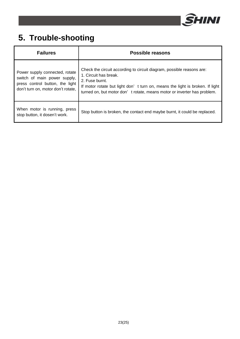

## **5. Trouble-shooting**

| <b>Failures</b>                                                                                                                         | Possible reasons                                                                                                                                                                                                                                                            |
|-----------------------------------------------------------------------------------------------------------------------------------------|-----------------------------------------------------------------------------------------------------------------------------------------------------------------------------------------------------------------------------------------------------------------------------|
| Power supply connected, rotate<br>switch of main power supply,<br>press control button, the light<br>don't turn on, motor don't rotate, | Check the circuit according to circuit diagram, possible reasons are:<br>1. Circuit has break.<br>2. Fuse burnt.<br>If motor rotate but light don't turn on, means the light is broken. If light<br>turned on, but motor don't rotate, means motor or inverter has problem. |
| When motor is running, press<br>stop button, it dosen't work.                                                                           | Stop button is broken, the contact end maybe burnt, it could be replaced.                                                                                                                                                                                                   |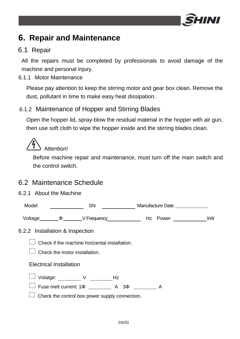

## **6. Repair and Maintenance**

### 6.1 Repair

All the repairs must be completed by professionals to avoid damage of the machine and personal injury.

#### 6.1.1 Motor Maintenance

Please pay attention to keep the stirring motor and gear box clean. Remove the dust, pollutant in time to make easy heat dissipation.

#### 6.1.2 Maintenance of Hopper and Stirring Blades

Open the hopper lid, spray-blow the residual material in the hopper with air gun, then use soft cloth to wipe the hopper inside and the stirring blades clean.



Before machine repair and maintenance, must turn off the main switch and the control switch.

### 6.2 Maintenance Schedule

#### 6.2.1 About the Machine

| Model                           | <b>SN</b> |                                                                                |  | Manufacture Date ______________ |  |  |    |
|---------------------------------|-----------|--------------------------------------------------------------------------------|--|---------------------------------|--|--|----|
|                                 |           |                                                                                |  |                                 |  |  | kW |
| 6.2.2 Installation & Inspection |           |                                                                                |  |                                 |  |  |    |
|                                 |           | Check if the machine horizental installation.<br>Check the motor installation. |  |                                 |  |  |    |
| <b>Electrical Installation</b>  |           |                                                                                |  |                                 |  |  |    |
|                                 |           | Volatge: V Hz<br>Fuse melt current: 1 $\Phi$ A 3 $\Phi$ A A                    |  |                                 |  |  |    |
|                                 |           | Check the control box power supply connection.                                 |  |                                 |  |  |    |